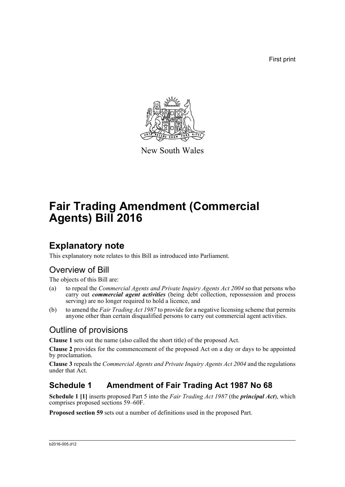First print



New South Wales

# **Fair Trading Amendment (Commercial Agents) Bill 2016**

## **Explanatory note**

This explanatory note relates to this Bill as introduced into Parliament.

## Overview of Bill

The objects of this Bill are:

- (a) to repeal the *Commercial Agents and Private Inquiry Agents Act 2004* so that persons who carry out *commercial agent activities* (being debt collection, repossession and process serving) are no longer required to hold a licence, and
- (b) to amend the *Fair Trading Act 1987* to provide for a negative licensing scheme that permits anyone other than certain disqualified persons to carry out commercial agent activities.

## Outline of provisions

**Clause 1** sets out the name (also called the short title) of the proposed Act.

**Clause 2** provides for the commencement of the proposed Act on a day or days to be appointed by proclamation.

**Clause 3** repeals the *Commercial Agents and Private Inquiry Agents Act 2004* and the regulations under that Act.

### **Schedule 1 Amendment of Fair Trading Act 1987 No 68**

**Schedule 1 [1]** inserts proposed Part 5 into the *Fair Trading Act 1987* (the *principal Act*), which comprises proposed sections 59–60F.

**Proposed section 59** sets out a number of definitions used in the proposed Part.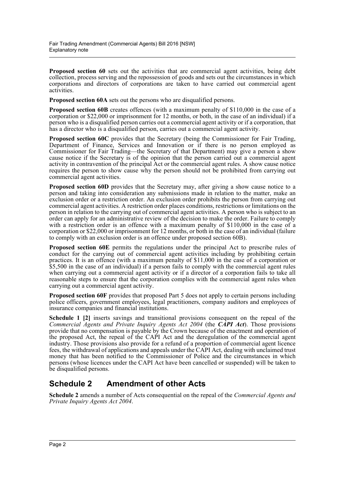**Proposed section 60** sets out the activities that are commercial agent activities, being debt collection, process serving and the repossession of goods and sets out the circumstances in which corporations and directors of corporations are taken to have carried out commercial agent activities.

**Proposed section 60A** sets out the persons who are disqualified persons.

**Proposed section 60B** creates offences (with a maximum penalty of \$110,000 in the case of a corporation or \$22,000 or imprisonment for 12 months, or both, in the case of an individual) if a person who is a disqualified person carries out a commercial agent activity or if a corporation, that has a director who is a disqualified person, carries out a commercial agent activity.

**Proposed section 60C** provides that the Secretary (being the Commissioner for Fair Trading, Department of Finance, Services and Innovation or if there is no person employed as Commissioner for Fair Trading—the Secretary of that Department) may give a person a show cause notice if the Secretary is of the opinion that the person carried out a commercial agent activity in contravention of the principal Act or the commercial agent rules. A show cause notice requires the person to show cause why the person should not be prohibited from carrying out commercial agent activities.

**Proposed section 60D** provides that the Secretary may, after giving a show cause notice to a person and taking into consideration any submissions made in relation to the matter, make an exclusion order or a restriction order. An exclusion order prohibits the person from carrying out commercial agent activities. A restriction order places conditions, restrictions or limitations on the person in relation to the carrying out of commercial agent activities. A person who is subject to an order can apply for an administrative review of the decision to make the order. Failure to comply with a restriction order is an offence with a maximum penalty of \$110,000 in the case of a corporation or \$22,000 or imprisonment for 12 months, or both in the case of an individual (failure to comply with an exclusion order is an offence under proposed section 60B).

**Proposed section 60E** permits the regulations under the principal Act to prescribe rules of conduct for the carrying out of commercial agent activities including by prohibiting certain practices. It is an offence (with a maximum penalty of \$11,000 in the case of a corporation or \$5,500 in the case of an individual) if a person fails to comply with the commercial agent rules when carrying out a commercial agent activity or if a director of a corporation fails to take all reasonable steps to ensure that the corporation complies with the commercial agent rules when carrying out a commercial agent activity.

**Proposed section 60F** provides that proposed Part 5 does not apply to certain persons including police officers, government employees, legal practitioners, company auditors and employees of insurance companies and financial institutions.

**Schedule 1 [2]** inserts savings and transitional provisions consequent on the repeal of the *Commercial Agents and Private Inquiry Agents Act 2004* (the *CAPI Act*). Those provisions provide that no compensation is payable by the Crown because of the enactment and operation of the proposed Act, the repeal of the CAPI Act and the deregulation of the commercial agent industry. Those provisions also provide for a refund of a proportion of commercial agent licence fees, the withdrawal of applications and appeals under the CAPI Act, dealing with unclaimed trust money that has been notified to the Commissioner of Police and the circumstances in which persons (whose licences under the CAPI Act have been cancelled or suspended) will be taken to be disqualified persons.

#### **Schedule 2 Amendment of other Acts**

**Schedule 2** amends a number of Acts consequential on the repeal of the *Commercial Agents and Private Inquiry Agents Act 2004*.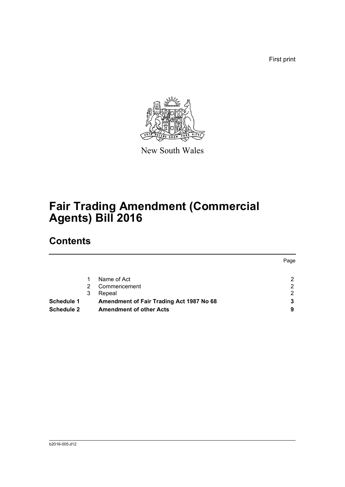First print



New South Wales

# **Fair Trading Amendment (Commercial Agents) Bill 2016**

## **Contents**

|                   |    |                                          | Page                  |
|-------------------|----|------------------------------------------|-----------------------|
|                   |    | Name of Act                              | $\overline{2}$        |
|                   | 2. | Commencement                             | 2                     |
|                   | 3  | Repeal                                   | $\mathbf{2}^{\prime}$ |
| Schedule 1        |    | Amendment of Fair Trading Act 1987 No 68 | 3                     |
| <b>Schedule 2</b> |    | <b>Amendment of other Acts</b>           | 9                     |
|                   |    |                                          |                       |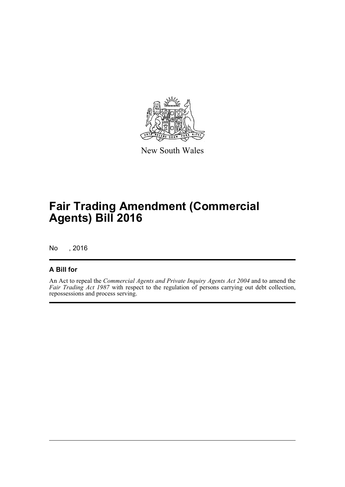

New South Wales

## **Fair Trading Amendment (Commercial Agents) Bill 2016**

No , 2016

#### **A Bill for**

An Act to repeal the *Commercial Agents and Private Inquiry Agents Act 2004* and to amend the *Fair Trading Act 1987* with respect to the regulation of persons carrying out debt collection, repossessions and process serving.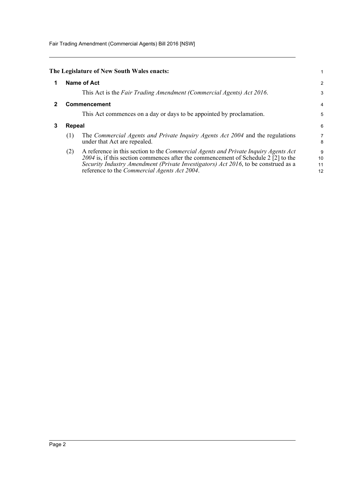Fair Trading Amendment (Commercial Agents) Bill 2016 [NSW]

<span id="page-4-2"></span><span id="page-4-1"></span><span id="page-4-0"></span>

|   |        | The Legislature of New South Wales enacts:                                                                                                                                                                                                                                                                                            | 1                   |  |
|---|--------|---------------------------------------------------------------------------------------------------------------------------------------------------------------------------------------------------------------------------------------------------------------------------------------------------------------------------------------|---------------------|--|
| 1 |        | <b>Name of Act</b>                                                                                                                                                                                                                                                                                                                    | 2                   |  |
|   |        | This Act is the Fair Trading Amendment (Commercial Agents) Act 2016.                                                                                                                                                                                                                                                                  | 3                   |  |
|   |        | <b>Commencement</b>                                                                                                                                                                                                                                                                                                                   | $\overline{4}$      |  |
|   |        | This Act commences on a day or days to be appointed by proclamation.                                                                                                                                                                                                                                                                  | 5                   |  |
| 3 | Repeal |                                                                                                                                                                                                                                                                                                                                       |                     |  |
|   | (1)    | The Commercial Agents and Private Inquiry Agents Act 2004 and the regulations<br>under that Act are repealed.                                                                                                                                                                                                                         | $\overline{7}$<br>8 |  |
|   | (2)    | A reference in this section to the Commercial Agents and Private Inquiry Agents Act<br>2004 is, if this section commences after the commencement of Schedule 2 $\lceil 2 \rceil$ to the<br>Security Industry Amendment (Private Investigators) Act 2016, to be construed as a<br>reference to the <i>Commercial Agents Act 2004</i> . | 9<br>10<br>11       |  |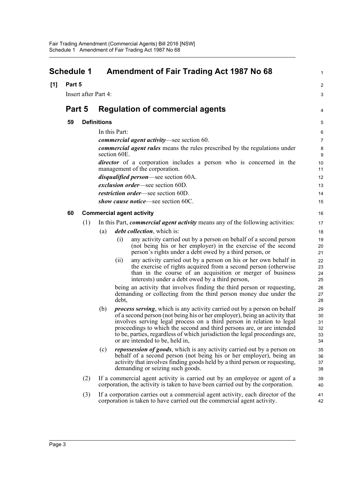<span id="page-5-0"></span>

| <b>Schedule 1</b> |                      |     | <b>Amendment of Fair Trading Act 1987 No 68</b>                                                                                                                                                                                                                                                                                                                                                                                            | 1                                |
|-------------------|----------------------|-----|--------------------------------------------------------------------------------------------------------------------------------------------------------------------------------------------------------------------------------------------------------------------------------------------------------------------------------------------------------------------------------------------------------------------------------------------|----------------------------------|
| [1]               | Part 5               |     |                                                                                                                                                                                                                                                                                                                                                                                                                                            | 2                                |
|                   | Insert after Part 4: |     |                                                                                                                                                                                                                                                                                                                                                                                                                                            | 3                                |
|                   | Part 5               |     | <b>Regulation of commercial agents</b>                                                                                                                                                                                                                                                                                                                                                                                                     | 4                                |
|                   | 59                   |     | <b>Definitions</b>                                                                                                                                                                                                                                                                                                                                                                                                                         | 5                                |
|                   |                      |     | In this Part:                                                                                                                                                                                                                                                                                                                                                                                                                              | $\,6\,$                          |
|                   |                      |     | <i>commercial agent activity</i> —see section 60.                                                                                                                                                                                                                                                                                                                                                                                          | 7                                |
|                   |                      |     | <i>commercial agent rules</i> means the rules prescribed by the regulations under<br>section 60E.                                                                                                                                                                                                                                                                                                                                          | 8<br>9                           |
|                   |                      |     | <i>director</i> of a corporation includes a person who is concerned in the<br>management of the corporation.                                                                                                                                                                                                                                                                                                                               | 10<br>11                         |
|                   |                      |     | disqualified person-see section 60A.                                                                                                                                                                                                                                                                                                                                                                                                       | 12                               |
|                   |                      |     | exclusion order—see section 60D.                                                                                                                                                                                                                                                                                                                                                                                                           | 13                               |
|                   |                      |     | restriction order-see section 60D.                                                                                                                                                                                                                                                                                                                                                                                                         | 14                               |
|                   |                      |     | show cause notice—see section 60C.                                                                                                                                                                                                                                                                                                                                                                                                         | 15                               |
|                   | 60                   |     | <b>Commercial agent activity</b>                                                                                                                                                                                                                                                                                                                                                                                                           | 16                               |
|                   |                      | (1) | In this Part, <i>commercial agent activity</i> means any of the following activities:                                                                                                                                                                                                                                                                                                                                                      | 17                               |
|                   |                      |     | <i>debt collection</i> , which is:<br>(a)                                                                                                                                                                                                                                                                                                                                                                                                  | 18                               |
|                   |                      |     | any activity carried out by a person on behalf of a second person<br>(i)<br>(not being his or her employer) in the exercise of the second<br>person's rights under a debt owed by a third person, or                                                                                                                                                                                                                                       | 19<br>20<br>21                   |
|                   |                      |     | any activity carried out by a person on his or her own behalf in<br>(ii)<br>the exercise of rights acquired from a second person (otherwise<br>than in the course of an acquisition or merger of business<br>interests) under a debt owed by a third person,                                                                                                                                                                               | 22<br>23<br>24<br>25             |
|                   |                      |     | being an activity that involves finding the third person or requesting,<br>demanding or collecting from the third person money due under the<br>debt,                                                                                                                                                                                                                                                                                      | 26<br>27<br>28                   |
|                   |                      |     | <i>process serving</i> , which is any activity carried out by a person on behalf<br>(b)<br>of a second person (not being his or her employer), being an activity that<br>involves serving legal process on a third person in relation to legal<br>proceedings to which the second and third persons are, or are intended<br>to be, parties, regardless of which jurisdiction the legal proceedings are,<br>or are intended to be, held in, | 29<br>30<br>31<br>32<br>33<br>34 |
|                   |                      |     | <i>repossession of goods</i> , which is any activity carried out by a person on<br>(c)<br>behalf of a second person (not being his or her employer), being an<br>activity that involves finding goods held by a third person or requesting,<br>demanding or seizing such goods.                                                                                                                                                            | 35<br>36<br>37<br>38             |
|                   |                      | (2) | If a commercial agent activity is carried out by an employee or agent of a<br>corporation, the activity is taken to have been carried out by the corporation.                                                                                                                                                                                                                                                                              | 39<br>40                         |
|                   |                      | (3) | If a corporation carries out a commercial agent activity, each director of the<br>corporation is taken to have carried out the commercial agent activity.                                                                                                                                                                                                                                                                                  | 41<br>42                         |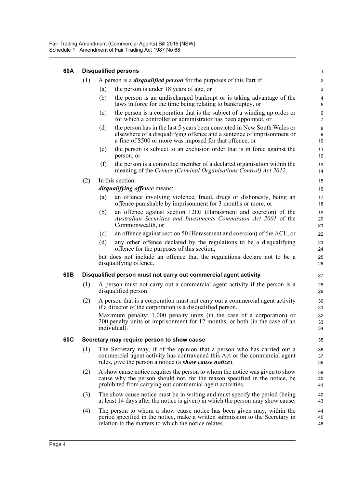| 60A |     |                                                                                                                                                                                                                          | <b>Disqualified persons</b>                                                                                                                                                                                    | $\mathbf{1}$                |
|-----|-----|--------------------------------------------------------------------------------------------------------------------------------------------------------------------------------------------------------------------------|----------------------------------------------------------------------------------------------------------------------------------------------------------------------------------------------------------------|-----------------------------|
|     | (1) |                                                                                                                                                                                                                          | A person is a <i>disqualified person</i> for the purposes of this Part if:                                                                                                                                     | $\overline{c}$              |
|     |     | (a)                                                                                                                                                                                                                      | the person is under 18 years of age, or                                                                                                                                                                        | 3                           |
|     |     | (b)                                                                                                                                                                                                                      | the person is an undischarged bankrupt or is taking advantage of the<br>laws in force for the time being relating to bankruptcy, or                                                                            | 4<br>5                      |
|     |     | (c)                                                                                                                                                                                                                      | the person is a corporation that is the subject of a winding up order or<br>for which a controller or administrator has been appointed, or                                                                     | 6<br>$\overline{7}$         |
|     |     | (d)                                                                                                                                                                                                                      | the person has in the last 5 years been convicted in New South Wales or<br>elsewhere of a disqualifying offence and a sentence of imprisonment or<br>a fine of \$500 or more was imposed for that offence, or  | 8<br>$\boldsymbol{9}$<br>10 |
|     |     | (e)                                                                                                                                                                                                                      | the person is subject to an exclusion order that is in force against the<br>person, or                                                                                                                         | 11<br>12                    |
|     |     | (f)                                                                                                                                                                                                                      | the person is a controlled member of a declared organisation within the<br>meaning of the Crimes (Criminal Organisations Control) Act 2012.                                                                    | 13<br>14                    |
|     | (2) |                                                                                                                                                                                                                          | In this section:                                                                                                                                                                                               | 15                          |
|     |     |                                                                                                                                                                                                                          | <i>disqualifying offence</i> means:                                                                                                                                                                            | 16                          |
|     |     | (a)                                                                                                                                                                                                                      | an offence involving violence, fraud, drugs or dishonesty, being an<br>offence punishable by imprisonment for 3 months or more, or                                                                             | 17<br>18                    |
|     |     | (b)                                                                                                                                                                                                                      | an offence against section 12DJ (Harassment and coercion) of the<br>Australian Securities and Investments Commission Act 2001 of the<br>Commonwealth, or                                                       | 19<br>20<br>21              |
|     |     | (c)                                                                                                                                                                                                                      | an offence against section 50 (Harassment and coercion) of the ACL, or                                                                                                                                         | 22                          |
|     |     | (d)                                                                                                                                                                                                                      | any other offence declared by the regulations to be a disqualifying<br>offence for the purposes of this section,                                                                                               | 23<br>24                    |
|     |     |                                                                                                                                                                                                                          | but does not include an offence that the regulations declare not to be a<br>disqualifying offence.                                                                                                             | 25<br>26                    |
| 60B |     |                                                                                                                                                                                                                          | Disqualified person must not carry out commercial agent activity                                                                                                                                               | 27                          |
|     | (1) | A person must not carry out a commercial agent activity if the person is a<br>disqualified person.                                                                                                                       |                                                                                                                                                                                                                |                             |
|     | (2) | A person that is a corporation must not carry out a commercial agent activity<br>if a director of the corporation is a disqualified person.                                                                              |                                                                                                                                                                                                                | 30<br>31                    |
|     |     |                                                                                                                                                                                                                          | Maximum penalty: 1,000 penalty units (in the case of a corporation) or<br>200 penalty units or imprisonment for 12 months, or both (in the case of an<br>individual).                                          | 32<br>33<br>34              |
| 60C |     |                                                                                                                                                                                                                          | Secretary may require person to show cause                                                                                                                                                                     | 35                          |
|     | (1) | The Secretary may, if of the opinion that a person who has carried out a<br>commercial agent activity has contravened this Act or the commercial agent<br>rules, give the person a notice (a show cause notice).         |                                                                                                                                                                                                                | 36<br>37<br>38              |
|     | (2) | A show cause notice requires the person to whom the notice was given to show<br>cause why the person should not, for the reason specified in the notice, be<br>prohibited from carrying out commercial agent activities. |                                                                                                                                                                                                                | 39<br>40<br>41              |
|     | (3) |                                                                                                                                                                                                                          | The show cause notice must be in writing and must specify the period (being<br>at least 14 days after the notice is given) in which the person may show cause.                                                 | 42<br>43                    |
|     | (4) |                                                                                                                                                                                                                          | The person to whom a show cause notice has been given may, within the<br>period specified in the notice, make a written submission to the Secretary in<br>relation to the matters to which the notice relates. | 44<br>45<br>46              |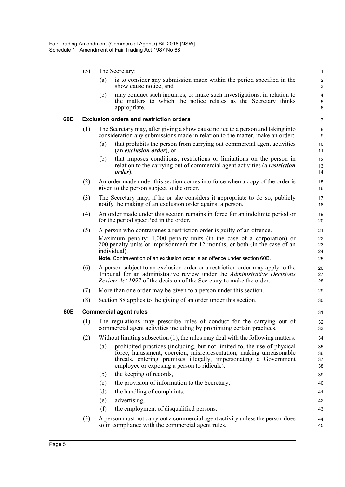(5) The Secretary: (a) is to consider any submission made within the period specified in the show cause notice, and (b) may conduct such inquiries, or make such investigations, in relation to the matters to which the notice relates as the Secretary thinks appropriate. **60D Exclusion orders and restriction orders** (1) The Secretary may, after giving a show cause notice to a person and taking into consideration any submissions made in relation to the matter, make an order: (a) that prohibits the person from carrying out commercial agent activities (an *exclusion order*), or (b) that imposes conditions, restrictions or limitations on the person in relation to the carrying out of commercial agent activities (a *restriction order*). (2) An order made under this section comes into force when a copy of the order is given to the person subject to the order. (3) The Secretary may, if he or she considers it appropriate to do so, publicly notify the making of an exclusion order against a person. (4) An order made under this section remains in force for an indefinite period or for the period specified in the order. (5) A person who contravenes a restriction order is guilty of an offence. Maximum penalty: 1,000 penalty units (in the case of a corporation) or 200 penalty units or imprisonment for 12 months, or both (in the case of an individual). **Note.** Contravention of an exclusion order is an offence under section 60B. (6) A person subject to an exclusion order or a restriction order may apply to the Tribunal for an administrative review under the *Administrative Decisions Review Act 1997* of the decision of the Secretary to make the order. (7) More than one order may be given to a person under this section. (8) Section 88 applies to the giving of an order under this section. **60E Commercial agent rules** (1) The regulations may prescribe rules of conduct for the carrying out of commercial agent activities including by prohibiting certain practices. (2) Without limiting subsection (1), the rules may deal with the following matters: (a) prohibited practices (including, but not limited to, the use of physical force, harassment, coercion, misrepresentation, making unreasonable threats, entering premises illegally, impersonating a Government employee or exposing a person to ridicule), (b) the keeping of records, (c) the provision of information to the Secretary, (d) the handling of complaints, (e) advertising, (f) the employment of disqualified persons. (3) A person must not carry out a commercial agent activity unless the person does so in compliance with the commercial agent rules. 1  $\overline{2}$ 3 4 5 6 7 8 9 10 11 12 13 14 15 16 17 18 19 20 21 22 23 24 25 26 27 28 29 30 31 32 33 34 35 36 37 38 39 40 41 42 43 44 45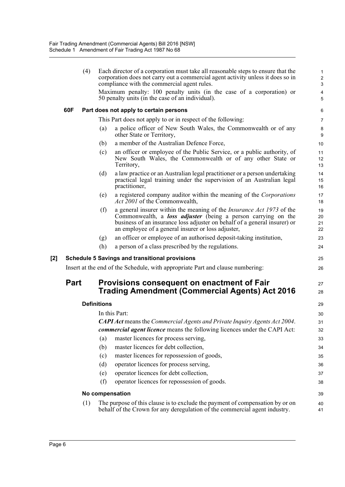|     |      | (4) | Each director of a corporation must take all reasonable steps to ensure that the<br>corporation does not carry out a commercial agent activity unless it does so in<br>compliance with the commercial agent rules.                                                                             | $\mathbf{1}$<br>$\overline{c}$<br>3 |
|-----|------|-----|------------------------------------------------------------------------------------------------------------------------------------------------------------------------------------------------------------------------------------------------------------------------------------------------|-------------------------------------|
|     |      |     | Maximum penalty: 100 penalty units (in the case of a corporation) or<br>50 penalty units (in the case of an individual).                                                                                                                                                                       | $\overline{\mathbf{4}}$<br>5        |
|     | 60F  |     | Part does not apply to certain persons                                                                                                                                                                                                                                                         | 6                                   |
|     |      |     | This Part does not apply to or in respect of the following:                                                                                                                                                                                                                                    | 7                                   |
|     |      |     | a police officer of New South Wales, the Commonwealth or of any<br>(a)<br>other State or Territory,                                                                                                                                                                                            | 8<br>$\boldsymbol{9}$               |
|     |      |     | a member of the Australian Defence Force,<br>(b)                                                                                                                                                                                                                                               | 10                                  |
|     |      |     | an officer or employee of the Public Service, or a public authority, of<br>(c)<br>New South Wales, the Commonwealth or of any other State or<br>Territory,                                                                                                                                     | 11<br>12<br>13                      |
|     |      |     | a law practice or an Australian legal practitioner or a person undertaking<br>(d)<br>practical legal training under the supervision of an Australian legal<br>practitioner,                                                                                                                    | 14<br>15<br>16                      |
|     |      |     | (e)<br>a registered company auditor within the meaning of the <i>Corporations</i><br>Act 2001 of the Commonwealth,                                                                                                                                                                             | 17<br>18                            |
|     |      |     | a general insurer within the meaning of the <i>Insurance Act 1973</i> of the<br>(f)<br>Commonwealth, a <b>loss adjuster</b> (being a person carrying on the<br>business of an insurance loss adjuster on behalf of a general insurer) or<br>an employee of a general insurer or loss adjuster, | 19<br>20<br>21<br>22                |
|     |      |     | an officer or employee of an authorised deposit-taking institution,<br>(g)                                                                                                                                                                                                                     | 23                                  |
|     |      |     | (h)<br>a person of a class prescribed by the regulations.                                                                                                                                                                                                                                      | 24                                  |
| [2] |      |     | <b>Schedule 5 Savings and transitional provisions</b>                                                                                                                                                                                                                                          | 25                                  |
|     |      |     | Insert at the end of the Schedule, with appropriate Part and clause numbering:                                                                                                                                                                                                                 | 26                                  |
|     | Part |     | Provisions consequent on enactment of Fair<br>Trading Amendment (Commercial Agents) Act 2016                                                                                                                                                                                                   | 27<br>28                            |
|     |      |     | <b>Definitions</b>                                                                                                                                                                                                                                                                             | 29                                  |
|     |      |     | In this Part:                                                                                                                                                                                                                                                                                  | 30                                  |
|     |      |     | <b>CAPI Act means the Commercial Agents and Private Inquiry Agents Act 2004.</b>                                                                                                                                                                                                               | 31                                  |
|     |      |     | commercial agent licence means the following licences under the CAPI Act:                                                                                                                                                                                                                      | 32                                  |
|     |      |     | master licences for process serving,<br>(a)                                                                                                                                                                                                                                                    | 33                                  |
|     |      |     | master licences for debt collection,<br>(b)                                                                                                                                                                                                                                                    | 34                                  |
|     |      |     | master licences for repossession of goods,<br>(c)                                                                                                                                                                                                                                              | 35                                  |
|     |      |     | operator licences for process serving,<br>(d)                                                                                                                                                                                                                                                  | 36                                  |
|     |      |     | operator licences for debt collection,<br>(e)                                                                                                                                                                                                                                                  | 37                                  |
|     |      |     | operator licences for repossession of goods.<br>(f)                                                                                                                                                                                                                                            | 38                                  |
|     |      |     | No compensation                                                                                                                                                                                                                                                                                | 39                                  |
|     |      | (1) | The purpose of this clause is to exclude the payment of compensation by or on<br>behalf of the Crown for any deregulation of the commercial agent industry.                                                                                                                                    | 40<br>41                            |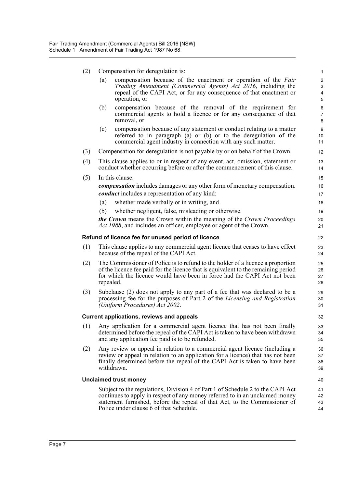| (2) Compensation for deregulation is: |                                         |  |  |  |  |  |
|---------------------------------------|-----------------------------------------|--|--|--|--|--|
|                                       | (a) compensation because of the enactme |  |  |  |  |  |

| (2) | Compensation for deregulation is:                                                                                                                                                                                                                              |                                                                                                                                                                                                                                                                                         |                                            |
|-----|----------------------------------------------------------------------------------------------------------------------------------------------------------------------------------------------------------------------------------------------------------------|-----------------------------------------------------------------------------------------------------------------------------------------------------------------------------------------------------------------------------------------------------------------------------------------|--------------------------------------------|
|     | (a)                                                                                                                                                                                                                                                            | compensation because of the enactment or operation of the Fair<br>Trading Amendment (Commercial Agents) Act 2016, including the<br>repeal of the CAPI Act, or for any consequence of that enactment or<br>operation, or                                                                 | $\overline{c}$<br>3<br>$\overline{4}$<br>5 |
|     | (b)                                                                                                                                                                                                                                                            | compensation because of the removal of the requirement for<br>commercial agents to hold a licence or for any consequence of that<br>removal, or                                                                                                                                         | 6<br>$\overline{7}$<br>8                   |
|     | (c)                                                                                                                                                                                                                                                            | compensation because of any statement or conduct relating to a matter<br>referred to in paragraph (a) or (b) or to the deregulation of the<br>commercial agent industry in connection with any such matter.                                                                             | 9<br>10<br>11                              |
| (3) |                                                                                                                                                                                                                                                                | Compensation for deregulation is not payable by or on behalf of the Crown.                                                                                                                                                                                                              | 12                                         |
| (4) |                                                                                                                                                                                                                                                                | This clause applies to or in respect of any event, act, omission, statement or<br>conduct whether occurring before or after the commencement of this clause.                                                                                                                            | 13<br>14                                   |
| (5) |                                                                                                                                                                                                                                                                | In this clause:                                                                                                                                                                                                                                                                         | 15                                         |
|     |                                                                                                                                                                                                                                                                | <i>compensation</i> includes damages or any other form of monetary compensation.<br><i>conduct</i> includes a representation of any kind:                                                                                                                                               | 16<br>17                                   |
|     | (a)                                                                                                                                                                                                                                                            | whether made verbally or in writing, and                                                                                                                                                                                                                                                | 18                                         |
|     | (b)                                                                                                                                                                                                                                                            | whether negligent, false, misleading or otherwise.                                                                                                                                                                                                                                      | 19                                         |
|     |                                                                                                                                                                                                                                                                | <b>the Crown</b> means the Crown within the meaning of the Crown Proceedings<br>Act 1988, and includes an officer, employee or agent of the Crown.                                                                                                                                      | 20<br>21                                   |
|     |                                                                                                                                                                                                                                                                | Refund of licence fee for unused period of licence                                                                                                                                                                                                                                      | 22                                         |
| (1) |                                                                                                                                                                                                                                                                | This clause applies to any commercial agent licence that ceases to have effect<br>because of the repeal of the CAPI Act.                                                                                                                                                                | 23<br>24                                   |
| (2) | The Commissioner of Police is to refund to the holder of a licence a proportion<br>of the licence fee paid for the licence that is equivalent to the remaining period<br>for which the licence would have been in force had the CAPI Act not been<br>repealed. |                                                                                                                                                                                                                                                                                         |                                            |
| (3) |                                                                                                                                                                                                                                                                | Subclause (2) does not apply to any part of a fee that was declared to be a<br>processing fee for the purposes of Part 2 of the Licensing and Registration<br>(Uniform Procedures) Act 2002.                                                                                            | 29<br>30<br>31                             |
|     |                                                                                                                                                                                                                                                                | <b>Current applications, reviews and appeals</b>                                                                                                                                                                                                                                        | 32                                         |
| (1) |                                                                                                                                                                                                                                                                | Any application for a commercial agent licence that has not been finally<br>determined before the repeal of the CAPI Act is taken to have been withdrawn<br>and any application fee paid is to be refunded.                                                                             | 33<br>34<br>35                             |
| (2) |                                                                                                                                                                                                                                                                | Any review or appeal in relation to a commercial agent licence (including a<br>review or appeal in relation to an application for a licence) that has not been<br>finally determined before the repeal of the CAPI Act is taken to have been<br>withdrawn.                              | 36<br>37<br>38<br>39                       |
|     |                                                                                                                                                                                                                                                                | <b>Unclaimed trust money</b>                                                                                                                                                                                                                                                            | 40                                         |
|     |                                                                                                                                                                                                                                                                | Subject to the regulations, Division 4 of Part 1 of Schedule 2 to the CAPI Act<br>continues to apply in respect of any money referred to in an unclaimed money<br>statement furnished, before the repeal of that Act, to the Commissioner of<br>Police under clause 6 of that Schedule. | 41<br>42<br>43<br>44                       |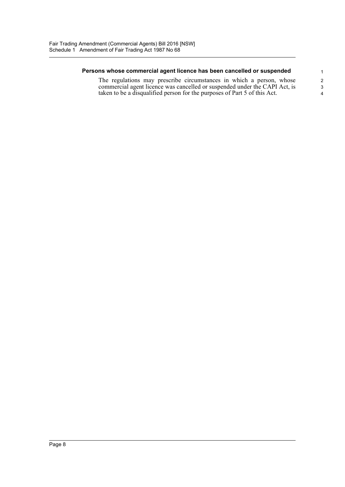#### **Persons whose commercial agent licence has been cancelled or suspended**

The regulations may prescribe circumstances in which a person, whose commercial agent licence was cancelled or suspended under the CAPI Act, is taken to be a disqualified person for the purposes of Part 5 of this Act.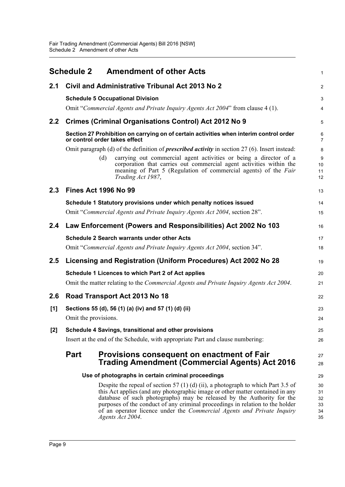<span id="page-11-0"></span>

|     |                                                       | <b>Schedule 2 Amendment of other Acts</b>                                                                                                                                                                                                                                                                                                                                                                                         | $\mathbf{1}$                     |  |  |
|-----|-------------------------------------------------------|-----------------------------------------------------------------------------------------------------------------------------------------------------------------------------------------------------------------------------------------------------------------------------------------------------------------------------------------------------------------------------------------------------------------------------------|----------------------------------|--|--|
| 2.1 |                                                       | Civil and Administrative Tribunal Act 2013 No 2                                                                                                                                                                                                                                                                                                                                                                                   | $\overline{2}$                   |  |  |
|     |                                                       | <b>Schedule 5 Occupational Division</b>                                                                                                                                                                                                                                                                                                                                                                                           | $\mathsf 3$                      |  |  |
|     |                                                       | Omit "Commercial Agents and Private Inquiry Agents Act 2004" from clause 4 (1).                                                                                                                                                                                                                                                                                                                                                   | 4                                |  |  |
| 2.2 |                                                       | <b>Crimes (Criminal Organisations Control) Act 2012 No 9</b>                                                                                                                                                                                                                                                                                                                                                                      | 5                                |  |  |
|     |                                                       | Section 27 Prohibition on carrying on of certain activities when interim control order<br>or control order takes effect                                                                                                                                                                                                                                                                                                           | 6<br>$\overline{7}$              |  |  |
|     |                                                       | Omit paragraph (d) of the definition of <i>prescribed activity</i> in section $27(6)$ . Insert instead:                                                                                                                                                                                                                                                                                                                           | 8                                |  |  |
|     |                                                       | carrying out commercial agent activities or being a director of a<br>(d)<br>corporation that carries out commercial agent activities within the<br>meaning of Part 5 (Regulation of commercial agents) of the Fair<br>Trading Act 1987,                                                                                                                                                                                           | 9<br>10<br>11<br>12              |  |  |
| 2.3 |                                                       | <b>Fines Act 1996 No 99</b>                                                                                                                                                                                                                                                                                                                                                                                                       | 13                               |  |  |
|     |                                                       | Schedule 1 Statutory provisions under which penalty notices issued                                                                                                                                                                                                                                                                                                                                                                | 14                               |  |  |
|     |                                                       | Omit "Commercial Agents and Private Inquiry Agents Act 2004, section 28".                                                                                                                                                                                                                                                                                                                                                         | 15                               |  |  |
| 2.4 |                                                       | Law Enforcement (Powers and Responsibilities) Act 2002 No 103                                                                                                                                                                                                                                                                                                                                                                     | 16                               |  |  |
|     |                                                       | <b>Schedule 2 Search warrants under other Acts</b>                                                                                                                                                                                                                                                                                                                                                                                | 17                               |  |  |
|     |                                                       | Omit "Commercial Agents and Private Inquiry Agents Act 2004, section 34".                                                                                                                                                                                                                                                                                                                                                         | 18                               |  |  |
| 2.5 |                                                       | Licensing and Registration (Uniform Procedures) Act 2002 No 28                                                                                                                                                                                                                                                                                                                                                                    | 19                               |  |  |
|     |                                                       | Schedule 1 Licences to which Part 2 of Act applies                                                                                                                                                                                                                                                                                                                                                                                | 20                               |  |  |
|     |                                                       | Omit the matter relating to the <i>Commercial Agents and Private Inquiry Agents Act 2004</i> .                                                                                                                                                                                                                                                                                                                                    | 21                               |  |  |
| 2.6 |                                                       | Road Transport Act 2013 No 18                                                                                                                                                                                                                                                                                                                                                                                                     | 22                               |  |  |
| [1] |                                                       | Sections 55 (d), 56 (1) (a) (iv) and 57 (1) (d) (ii)                                                                                                                                                                                                                                                                                                                                                                              | 23                               |  |  |
|     | Omit the provisions.                                  |                                                                                                                                                                                                                                                                                                                                                                                                                                   | 24                               |  |  |
| [2] | Schedule 4 Savings, transitional and other provisions |                                                                                                                                                                                                                                                                                                                                                                                                                                   |                                  |  |  |
|     |                                                       | Insert at the end of the Schedule, with appropriate Part and clause numbering:                                                                                                                                                                                                                                                                                                                                                    | 26                               |  |  |
|     | <b>Part</b>                                           | Provisions consequent on enactment of Fair<br><b>Trading Amendment (Commercial Agents) Act 2016</b>                                                                                                                                                                                                                                                                                                                               | 27<br>28                         |  |  |
|     |                                                       | Use of photographs in certain criminal proceedings                                                                                                                                                                                                                                                                                                                                                                                | 29                               |  |  |
|     |                                                       | Despite the repeal of section 57 (1) (d) (ii), a photograph to which Part 3.5 of<br>this Act applies (and any photographic image or other matter contained in any<br>database of such photographs) may be released by the Authority for the<br>purposes of the conduct of any criminal proceedings in relation to the holder<br>of an operator licence under the <i>Commercial Agents and Private Inquiry</i><br>Agents Act 2004. | 30<br>31<br>32<br>33<br>34<br>35 |  |  |